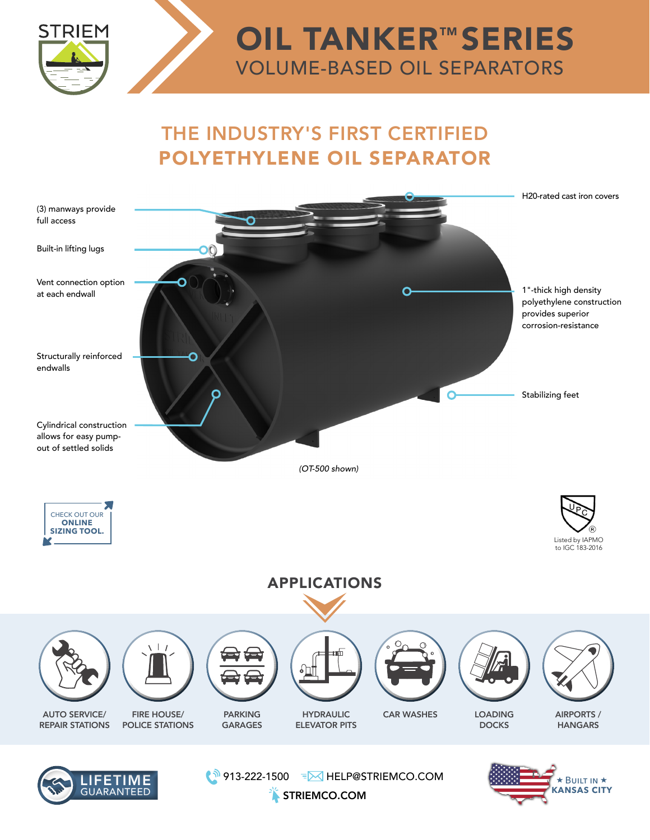

## THE INDUSTRY'S FIRST CERTIFIED POLYETHYLENE OIL SEPARATOR